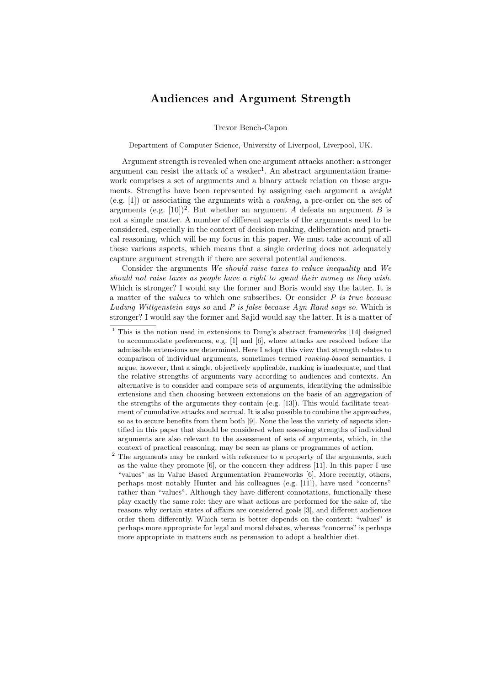## Audiences and Argument Strength

Trevor Bench-Capon

Department of Computer Science, University of Liverpool, Liverpool, UK.

Argument strength is revealed when one argument attacks another: a stronger argument can resist the attack of a weaker<sup>1</sup>. An abstract argumentation framework comprises a set of arguments and a binary attack relation on those arguments. Strengths have been represented by assigning each argument a weight (e.g. [1]) or associating the arguments with a ranking, a pre-order on the set of arguments (e.g.  $[10]$ )<sup>2</sup>. But whether an argument A defeats an argument B is not a simple matter. A number of different aspects of the arguments need to be considered, especially in the context of decision making, deliberation and practical reasoning, which will be my focus in this paper. We must take account of all these various aspects, which means that a single ordering does not adequately capture argument strength if there are several potential audiences.

Consider the arguments We should raise taxes to reduce inequality and We should not raise taxes as people have a right to spend their money as they wish. Which is stronger? I would say the former and Boris would say the latter. It is a matter of the *values* to which one subscribes. Or consider  $P$  is true because Ludwig Wittgenstein says so and P is false because Ayn Rand says so. Which is stronger? I would say the former and Sajid would say the latter. It is a matter of

<sup>&</sup>lt;sup>1</sup> This is the notion used in extensions to Dung's abstract frameworks [14] designed to accommodate preferences, e.g. [1] and [6], where attacks are resolved before the admissible extensions are determined. Here I adopt this view that strength relates to comparison of individual arguments, sometimes termed ranking-based semantics. I argue, however, that a single, objectively applicable, ranking is inadequate, and that the relative strengths of arguments vary according to audiences and contexts. An alternative is to consider and compare sets of arguments, identifying the admissible extensions and then choosing between extensions on the basis of an aggregation of the strengths of the arguments they contain (e.g. [13]). This would facilitate treatment of cumulative attacks and accrual. It is also possible to combine the approaches, so as to secure benefits from them both [9]. None the less the variety of aspects identified in this paper that should be considered when assessing strengths of individual arguments are also relevant to the assessment of sets of arguments, which, in the context of practical reasoning, may be seen as plans or programmes of action.

<sup>&</sup>lt;sup>2</sup> The arguments may be ranked with reference to a property of the arguments, such as the value they promote [6], or the concern they address [11]. In this paper I use "values" as in Value Based Argumentation Frameworks [6]. More recently, others, perhaps most notably Hunter and his colleagues (e.g. [11]), have used "concerns" rather than "values". Although they have different connotations, functionally these play exactly the same role: they are what actions are performed for the sake of, the reasons why certain states of affairs are considered goals [3], and different audiences order them differently. Which term is better depends on the context: "values" is perhaps more appropriate for legal and moral debates, whereas "concerns" is perhaps more appropriate in matters such as persuasion to adopt a healthier diet.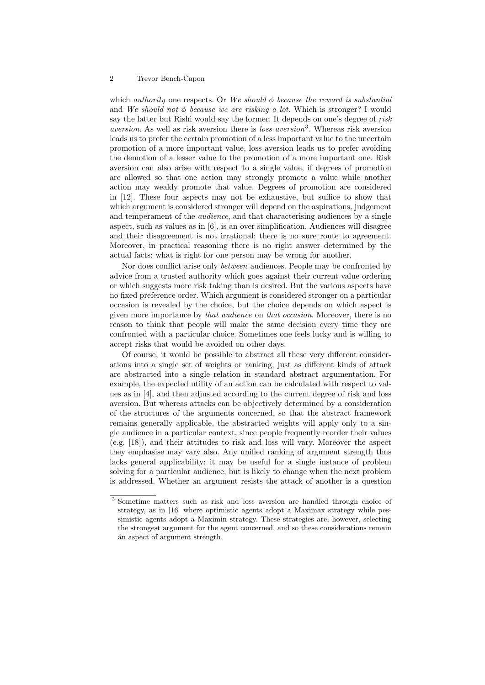## 2 Trevor Bench-Capon

which *authority* one respects. Or We should  $\phi$  because the reward is substantial and We should not  $\phi$  because we are risking a lot. Which is stronger? I would say the latter but Rishi would say the former. It depends on one's degree of risk aversion. As well as risk aversion there is *loss aversion*<sup>3</sup>. Whereas risk aversion leads us to prefer the certain promotion of a less important value to the uncertain promotion of a more important value, loss aversion leads us to prefer avoiding the demotion of a lesser value to the promotion of a more important one. Risk aversion can also arise with respect to a single value, if degrees of promotion are allowed so that one action may strongly promote a value while another action may weakly promote that value. Degrees of promotion are considered in [12]. These four aspects may not be exhaustive, but suffice to show that which argument is considered stronger will depend on the aspirations, judgement and temperament of the *audience*, and that characterising audiences by a single aspect, such as values as in [6], is an over simplification. Audiences will disagree and their disagreement is not irrational: there is no sure route to agreement. Moreover, in practical reasoning there is no right answer determined by the actual facts: what is right for one person may be wrong for another.

Nor does conflict arise only between audiences. People may be confronted by advice from a trusted authority which goes against their current value ordering or which suggests more risk taking than is desired. But the various aspects have no fixed preference order. Which argument is considered stronger on a particular occasion is revealed by the choice, but the choice depends on which aspect is given more importance by that audience on that occasion. Moreover, there is no reason to think that people will make the same decision every time they are confronted with a particular choice. Sometimes one feels lucky and is willing to accept risks that would be avoided on other days.

Of course, it would be possible to abstract all these very different considerations into a single set of weights or ranking, just as different kinds of attack are abstracted into a single relation in standard abstract argumentation. For example, the expected utility of an action can be calculated with respect to values as in [4], and then adjusted according to the current degree of risk and loss aversion. But whereas attacks can be objectively determined by a consideration of the structures of the arguments concerned, so that the abstract framework remains generally applicable, the abstracted weights will apply only to a single audience in a particular context, since people frequently reorder their values (e.g. [18]), and their attitudes to risk and loss will vary. Moreover the aspect they emphasise may vary also. Any unified ranking of argument strength thus lacks general applicability: it may be useful for a single instance of problem solving for a particular audience, but is likely to change when the next problem is addressed. Whether an argument resists the attack of another is a question

<sup>3</sup> Sometime matters such as risk and loss aversion are handled through choice of strategy, as in [16] where optimistic agents adopt a Maximax strategy while pessimistic agents adopt a Maximin strategy. These strategies are, however, selecting the strongest argument for the agent concerned, and so these considerations remain an aspect of argument strength.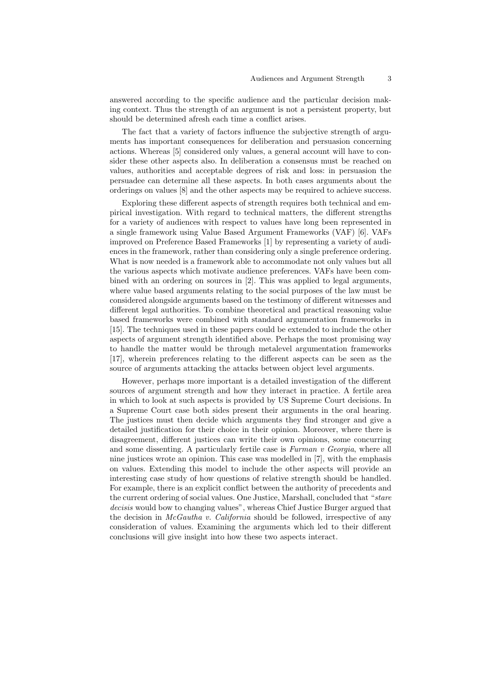answered according to the specific audience and the particular decision making context. Thus the strength of an argument is not a persistent property, but should be determined afresh each time a conflict arises.

The fact that a variety of factors influence the subjective strength of arguments has important consequences for deliberation and persuasion concerning actions. Whereas [5] considered only values, a general account will have to consider these other aspects also. In deliberation a consensus must be reached on values, authorities and acceptable degrees of risk and loss: in persuasion the persuadee can determine all these aspects. In both cases arguments about the orderings on values [8] and the other aspects may be required to achieve success.

Exploring these different aspects of strength requires both technical and empirical investigation. With regard to technical matters, the different strengths for a variety of audiences with respect to values have long been represented in a single framework using Value Based Argument Frameworks (VAF) [6]. VAFs improved on Preference Based Frameworks [1] by representing a variety of audiences in the framework, rather than considering only a single preference ordering. What is now needed is a framework able to accommodate not only values but all the various aspects which motivate audience preferences. VAFs have been combined with an ordering on sources in [2]. This was applied to legal arguments, where value based arguments relating to the social purposes of the law must be considered alongside arguments based on the testimony of different witnesses and different legal authorities. To combine theoretical and practical reasoning value based frameworks were combined with standard argumentation frameworks in [15]. The techniques used in these papers could be extended to include the other aspects of argument strength identified above. Perhaps the most promising way to handle the matter would be through metalevel argumentation frameworks [17], wherein preferences relating to the different aspects can be seen as the source of arguments attacking the attacks between object level arguments.

However, perhaps more important is a detailed investigation of the different sources of argument strength and how they interact in practice. A fertile area in which to look at such aspects is provided by US Supreme Court decisions. In a Supreme Court case both sides present their arguments in the oral hearing. The justices must then decide which arguments they find stronger and give a detailed justification for their choice in their opinion. Moreover, where there is disagreement, different justices can write their own opinions, some concurring and some dissenting. A particularly fertile case is Furman v Georgia, where all nine justices wrote an opinion. This case was modelled in [7], with the emphasis on values. Extending this model to include the other aspects will provide an interesting case study of how questions of relative strength should be handled. For example, there is an explicit conflict between the authority of precedents and the current ordering of social values. One Justice, Marshall, concluded that "stare" decisis would bow to changing values", whereas Chief Justice Burger argued that the decision in *McGautha v. California* should be followed, irrespective of any consideration of values. Examining the arguments which led to their different conclusions will give insight into how these two aspects interact.